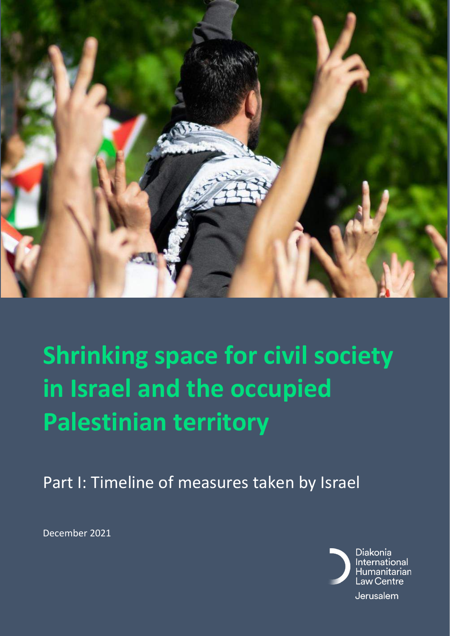

# **Shrinking space for civil society in Israel and the occupied Palestinian territory**

Part I: Timeline of measures taken by Israel

December 2021

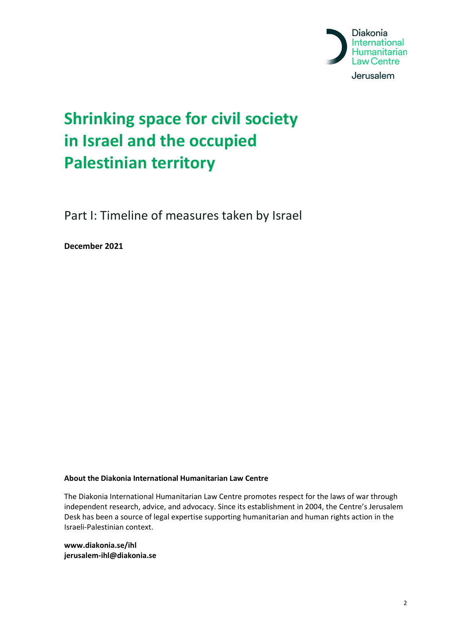

#### **Shrinking space for civil society in Israel and the occupied Palestinian territory**

Part I: Timeline of measures taken by Israel

**December 2021**

#### **About the Diakonia International Humanitarian Law Centre**

The Diakonia International Humanitarian Law Centre promotes respect for the laws of war through independent research, advice, and advocacy. Since its establishment in 2004, the Centre's Jerusalem Desk has been a source of legal expertise supporting humanitarian and human rights action in the Israeli-Palestinian context.

**www.diakonia.se/ihl jerusalem-ihl@diakonia.se**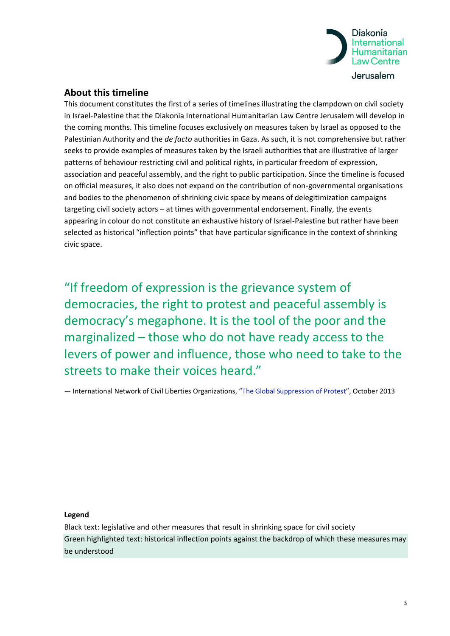

#### **About this timeline**

This document constitutes the first of a series of timelines illustrating the clampdown on civil society in Israel-Palestine that the Diakonia International Humanitarian Law Centre Jerusalem will develop in the coming months. This timeline focuses exclusively on measures taken by Israel as opposed to the Palestinian Authority and the *de facto* authorities in Gaza. As such, it is not comprehensive but rather seeks to provide examples of measures taken by the Israeli authorities that are illustrative of larger patterns of behaviour restricting civil and political rights, in particular freedom of expression, association and peaceful assembly, and the right to public participation. Since the timeline is focused on official measures, it also does not expand on the contribution of non-governmental organisations and bodies to the phenomenon of shrinking civic space by means of delegitimization campaigns targeting civil society actors – at times with governmental endorsement. Finally, the events appearing in colour do not constitute an exhaustive history of Israel-Palestine but rather have been selected as historical "inflection points" that have particular significance in the context of shrinking civic space.

"If freedom of expression is the grievance system of democracies, the right to protest and peaceful assembly is democracy's megaphone. It is the tool of the poor and the marginalized – those who do not have ready access to the levers of power and influence, those who need to take to the streets to make their voices heard."

- International Network of Civil Liberties Organizations, "[The Global Suppression of Protest](https://www.aclu.org/blog/national-security/global-suppression-protest)", October 2013

**Legend**

Black text: legislative and other measures that result in shrinking space for civil society Green highlighted text: historical inflection points against the backdrop of which these measures may be understood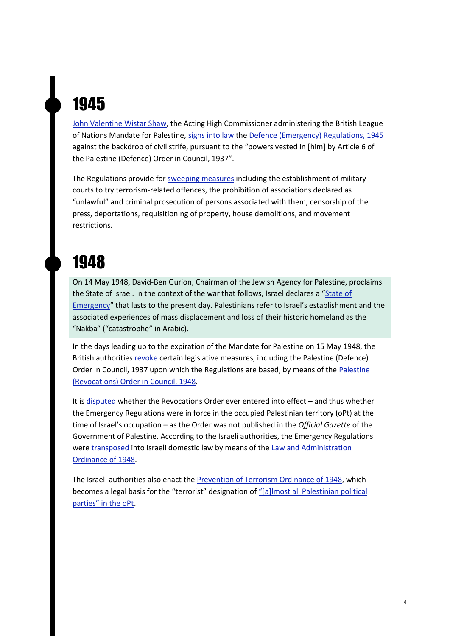# 1945

[John Valentine Wistar Shaw,](https://ecf.org.il/media_items/1472) the Acting High Commissioner administering the British League of Nations Mandate for Palestine, [signs into law](https://www.alhaq.org/cached_uploads/download/2021/03/24/perpetual-emergency-pdf-1616579593.pdf) th[e Defence \(Emergency\) Regulations, 1945](https://www.imolin.org/doc/amlid/Israel/The_Defence_Emergency_Regulations_1945.pdf) against the backdrop of civil strife, pursuant to the "powers vested in [him] by Article 6 of the Palestine (Defence) Order in Council, 1937".

The Regulations provide for [sweeping measures](https://www.btselem.org/legal_documents/emergency_regulations) including the establishment of military courts to try terrorism-related offences, the prohibition of associations declared as "unlawful" and criminal prosecution of persons associated with them, censorship of the press, deportations, requisitioning of property, house demolitions, and movement restrictions.

#### 1948

On 14 May 1948, David-Ben Gurion, Chairman of the Jewish Agency for Palestine, proclaims the State of Israel. In the context of the war that follows, Israel declares a "[State of](https://m.knesset.gov.il/en/about/lexicon/pages/declaringstateemergency.aspx)  [Emergency](https://m.knesset.gov.il/en/about/lexicon/pages/declaringstateemergency.aspx)" that lasts to the present day. Palestinians refer to Israel's establishment and the associated experiences of mass displacement and loss of their historic homeland as the "Nakba" ("catastrophe" in Arabic).

In the days leading up to the expiration of the Mandate for Palestine on 15 May 1948, the British authorities [revoke](https://hamoked.org/files/2015/1159192_eng.pdf) certain legislative measures, including the Palestine (Defence) Order in Council, 1937 upon which the Regulations are based, by means of the [Palestine](https://www.alhaq.org/cached_uploads/download/2021/03/24/perpetual-emergency-pdf-1616579593.pdf)  [\(Revocations\) Order in Council, 1948.](https://www.alhaq.org/cached_uploads/download/2021/03/24/perpetual-emergency-pdf-1616579593.pdf) 

It is [disputed](https://www.sunypress.edu/p-3563-the-occupation-of-justice.aspx) whether the Revocations Order ever entered into effect – and thus whether the Emergency Regulations were in force in the occupied Palestinian territory (oPt) at the time of Israel's occupation – as the Order was not published in the *Official Gazette* of the Government of Palestine. According to the Israeli authorities, the Emergency Regulations were [transposed](https://www.btselem.org/legal_documents/emergency_regulations) into Israeli domestic law by means of the Law and Administration [Ordinance of 1948.](http://www.knesset.gov.il/review/data/eng/law/kns0_govt-justice_eng.pdf)

The Israeli authorities also enact the [Prevention of Terrorism Ordinance of 1948,](https://www.imolin.org/doc/amlid/Israel/Israel_Prevention_of_Terrorism_Ordinance_1948.pdf) which becomes a legal basis for the "terrorist" designation of ["\[a\]lmost all Palestinian political](https://www.adalah.org/en/law/view/515)  [parties" in the oPt](https://www.adalah.org/en/law/view/515).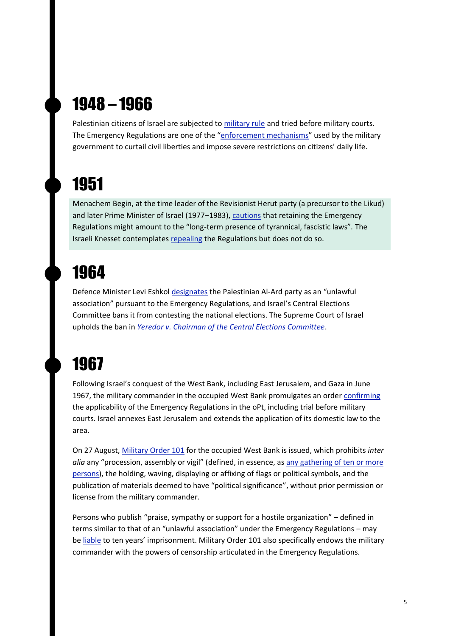### 1948 – 1966

Palestinian citizens of Israel are subjected to [military rule](https://storymaps.arcgis.com/stories/69519057572c44aba1d774e032da8f50) and tried before military courts. The Emergency Regulations are one of the "[enforcement mechanisms](https://www.972mag.com/israels-most-repressive-law-is-about-to-get-worse/)" used by the military government to curtail civil liberties and impose severe restrictions on citizens' daily life.

# 1951

Menachem Begin, at the time leader of the Revisionist Herut party (a precursor to the Likud) and later Prime Minister of Israel (1977–1983)[, cautions](https://www.972mag.com/israels-most-repressive-law-is-about-to-get-worse/) that retaining the Emergency Regulations might amount to the "long-term presence of tyrannical, fascistic laws". The Israeli Knesset contemplates [repealing](https://www.btselem.org/legal_documents/emergency_regulations) the Regulations but does not do so.

#### 1964

Defence Minister Levi Eshkol [designates](https://www.972mag.com/in-israels-democracy-dissent-has-always-been-off-limits-to-arab-citizens/) the Palestinian Al-Ard party as an "unlawful association" pursuant to the Emergency Regulations, and Israel's Central Elections Committee bans it from contesting the national elections. The Supreme Court of Israel upholds the ban in *[Yeredor v. Chairman of the Central Elections Committee](https://versa.cardozo.yu.edu/opinions/yeredor-v-chairman-central-elections-committee-sixth-knesset)*.

#### 1967

Following Israel's conquest of the West Bank, including East Jerusalem, and Gaza in June 1967, the military commander in the occupied West Bank promulgates an order [confirming](https://www.hrw.org/report/2019/12/17/born-without-civil-rights/israels-use-draconian-military-orders-repress) the applicability of the Emergency Regulations in the oPt, including trial before military courts. Israel annexes East Jerusalem and extends the application of its domestic law to the area.

On 27 August, [Military Order 101](https://www.btselem.org/download/19670827_order_regarding_prohibition_of_incitement_and_hostile_propaganda.pdf) for the occupied West Bank is issued, which prohibits *inter alia* any "procession, assembly or vigil" (defined, in essence, a[s any gathering of ten or more](https://www.hrw.org/report/2019/12/17/born-without-civil-rights/israels-use-draconian-military-orders-repress)  [persons\)](https://www.hrw.org/report/2019/12/17/born-without-civil-rights/israels-use-draconian-military-orders-repress), the holding, waving, displaying or affixing of flags or political symbols, and the publication of materials deemed to have "political significance", without prior permission or license from the military commander.

Persons who publish "praise, sympathy or support for a hostile organization" – defined in terms similar to that of an "unlawful association" under the Emergency Regulations – may be [liable](https://www.amnesty.org/en/latest/campaigns/2017/08/50-years-of-israeli-occupation-four-outrageous-facts-about-military-order-101/) to ten years' imprisonment. Military Order 101 also specifically endows the military commander with the powers of censorship articulated in the Emergency Regulations.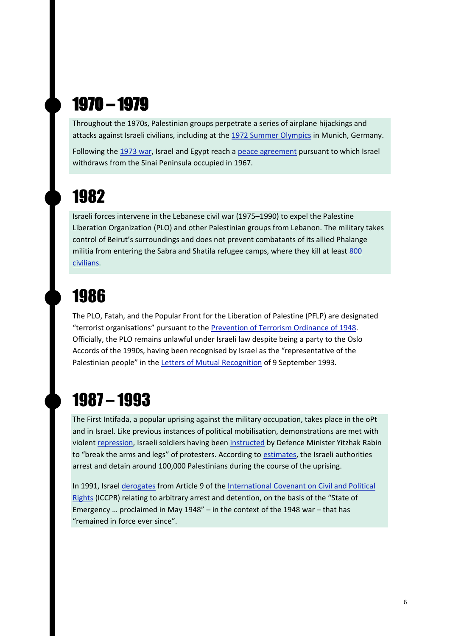### 1970 – 1979

Throughout the 1970s, Palestinian groups perpetrate a series of airplane hijackings and attacks against Israeli civilians, including at the [1972 Summer Olympics](https://apnews.com/article/sports-israel-sports-middle-east-munich-2020-tokyo-olympics-8387c0cdbb280e9064eae2c3a1c9d191) in Munich, Germany.

Following the [1973 war,](https://www.bbc.com/news/world-middle-east-24402464) Israel and Egypt reach [a peace agreement](https://peacemaker.un.org/sites/peacemaker.un.org/files/EG%20IL_790326_Egypt%20and%20Israel%20Treaty%20of%20Peace.pdf) pursuant to which Israel withdraws from the Sinai Peninsula occupied in 1967.

#### 1982

Israeli forces intervene in the Lebanese civil war (1975–1990) to expel the Palestine Liberation Organization (PLO) and other Palestinian groups from Lebanon. The military takes control of Beirut's surroundings and does not prevent combatants of its allied Phalange militia from entering the Sabra and Shatila refugee camps, where they kill at least [800](http://news.bbc.co.uk/2/hi/middle_east/1779713.stm)  [civilians.](http://news.bbc.co.uk/2/hi/middle_east/1779713.stm)

#### 1986

The PLO, Fatah, and the Popular Front for the Liberation of Palestine (PFLP) are designated "terrorist organisations" pursuant to the [Prevention of Terrorism Ordinance of 1948.](https://www.imolin.org/doc/amlid/Israel/Israel_Prevention_of_Terrorism_Ordinance_1948.pdf) Officially, the PLO remains unlawful under Israeli law despite being a party to the Oslo Accords of the 1990s, having been recognised by Israel as the "representative of the Palestinian people" in the [Letters of Mutual Recognition](https://www.un.org/unispal/document/auto-insert-183553/) of 9 September 1993.

#### 1987 – 1993

The First Intifada, a popular uprising against the military occupation, takes place in the oPt and in Israel. Like previous instances of political mobilisation, demonstrations are met with violent [repression,](https://www.hrw.org/legacy/campaigns/israel/intifada-intro.htm) Israeli soldiers having been [instructed](https://www.haaretz.com/1.4880391) by Defence Minister Yitzhak Rabin to "break the arms and legs" of protesters. According to [estimates,](https://www.amnesty.org/en/latest/campaigns/2017/06/israel-occupation-50-years-of-dispossession/) the Israeli authorities arrest and detain around 100,000 Palestinians during the course of the uprising.

In 1991, Israel [derogates](https://treaties.un.org/Pages/ViewDetails.aspx?chapter=4&clang=_en&mtdsg_no=IV-4&src=IND#EndDec) from Article 9 of the [International Covenant on Civil and Political](https://www.ohchr.org/en/professionalinterest/pages/ccpr.aspx)  [Rights](https://www.ohchr.org/en/professionalinterest/pages/ccpr.aspx) (ICCPR) relating to arbitrary arrest and detention, on the basis of the "State of Emergency … proclaimed in May 1948" – in the context of the 1948 war – that has "remained in force ever since".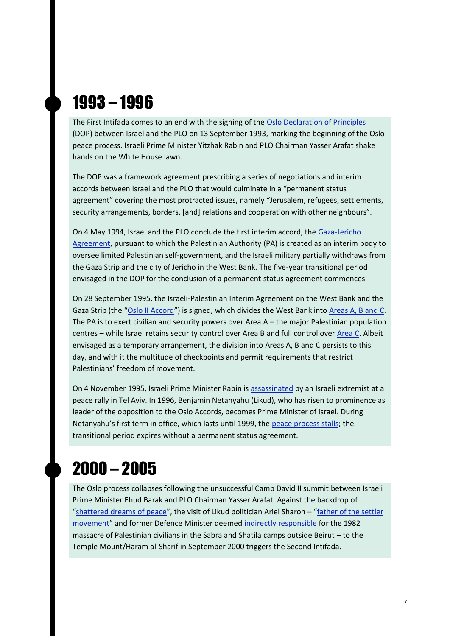#### 1993 – 1996

The First Intifada comes to an end with the signing of the [Oslo Declaration of Principles](https://peacemaker.un.org/sites/peacemaker.un.org/files/IL%20PS_930913_DeclarationPrinciplesnterimSelf-Government%28Oslo%20Accords%29.pdf) (DOP) between Israel and the PLO on 13 September 1993, marking the beginning of the Oslo peace process. Israeli Prime Minister Yitzhak Rabin and PLO Chairman Yasser Arafat shake hands on the White House lawn.

The DOP was a framework agreement prescribing a series of negotiations and interim accords between Israel and the PLO that would culminate in a "permanent status agreement" covering the most protracted issues, namely "Jerusalem, refugees, settlements, security arrangements, borders, [and] relations and cooperation with other neighbours".

On 4 May 1994, Israel and the PLO conclude the first interim accord, the [Gaza-Jericho](https://peacemaker.un.org/sites/peacemaker.un.org/files/IL%20PS_940504_Agreement%20on%20the%20Gaza%20Strip%20and%20the%20Jericho%20Area%20%28Cairo%20Agreement%29.pdf)  [Agreement,](https://peacemaker.un.org/sites/peacemaker.un.org/files/IL%20PS_940504_Agreement%20on%20the%20Gaza%20Strip%20and%20the%20Jericho%20Area%20%28Cairo%20Agreement%29.pdf) pursuant to which the Palestinian Authority (PA) is created as an interim body to oversee limited Palestinian self-government, and the Israeli military partially withdraws from the Gaza Strip and the city of Jericho in the West Bank. The five-year transitional period envisaged in the DOP for the conclusion of a permanent status agreement commences.

On 28 September 1995, the Israeli-Palestinian Interim Agreement on the West Bank and the Gaza Strip (the "[Oslo II Accord](https://peacemaker.un.org/sites/peacemaker.un.org/files/IL%20PS_950928_InterimAgreementWestBankGazaStrip%28OsloII%29.pdf)") is signed, which divides the West Bank into [Areas A, B and C.](https://users.ox.ac.uk/~ssfc0005/The%20Rise%20and%20Fall%20of%20the%20Oslo%20Peace%20Process.html) The PA is to exert civilian and security powers over Area A – the major Palestinian population centres – while Israel retains security control over Area B and full control over [Area C.](https://www.btselem.org/planning_and_building) Albeit envisaged as a temporary arrangement, the division into Areas A, B and C persists to this day, and with it the multitude of checkpoints and permit requirements that restrict Palestinians' freedom of movement.

On 4 November 1995, Israeli Prime Minister Rabin is [assassinated](https://www.newyorker.com/magazine/2015/10/26/shot-in-the-heart) by an Israeli extremist at a peace rally in Tel Aviv. In 1996, Benjamin Netanyahu (Likud), who has risen to prominence as leader of the opposition to the Oslo Accords, becomes Prime Minister of Israel. During Netanyahu's first term in office, which lasts until 1999, the [peace process stalls;](https://www.theguardian.com/commentisfree/2013/sep/12/oslo-israel-reneged-colonial-palestine) the transitional period expires without a permanent status agreement.

#### 2000 – 2005

The Oslo process collapses following the unsuccessful Camp David II summit between Israeli Prime Minister Ehud Barak and PLO Chairman Yasser Arafat. Against the backdrop of "[shattered dreams of peace](https://www.pbs.org/wgbh/pages/frontline/shows/oslo/)", the visit of Likud politician Ariel Sharon – "[father of the settler](http://news.bbc.co.uk/2/hi/middle_east/4156930.stm)  [movement](http://news.bbc.co.uk/2/hi/middle_east/4156930.stm)" and former Defence Minister deemed [indirectly responsible](https://www.nybooks.com/daily/2018/09/17/sabra-and-shatila-new-revelations/) for the 1982 massacre of Palestinian civilians in the Sabra and Shatila camps outside Beirut – to the Temple Mount/Haram al-Sharif in September 2000 triggers the Second Intifada.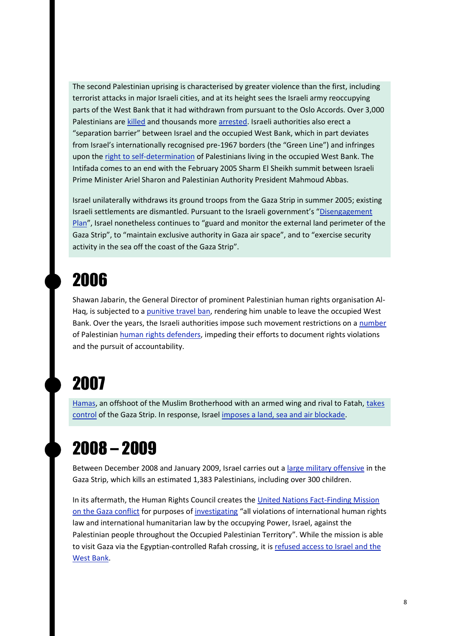The second Palestinian uprising is characterised by greater violence than the first, including terrorist attacks in major Israeli cities, and at its height sees the Israeli army reoccupying parts of the West Bank that it had withdrawn from pursuant to the Oslo Accords. Over 3,000 Palestinians ar[e killed](http://news.bbc.co.uk/2/hi/middle_east/3694350.stm) and thousands mor[e arrested.](https://www.haaretz.com/israel-news/.premium.MAGAZINE-the-second-intifada-20-years-on-thousands-died-in-a-struggle-that-failed-1.9185099) Israeli authorities also erect a "separation barrier" between Israel and the occupied West Bank, which in part deviates from Israel's internationally recognised pre-1967 borders (the "Green Line") and infringes upon the [right to self-determination](https://www.icj-cij.org/en/case/131) of Palestinians living in the occupied West Bank. The Intifada comes to an end with the February 2005 Sharm El Sheikh summit between Israeli Prime Minister Ariel Sharon and Palestinian Authority President Mahmoud Abbas.

Israel unilaterally withdraws its ground troops from the Gaza Strip in summer 2005; existing Israeli settlements are dismantled. Pursuant to the Israeli government's "[Disengagement](https://mfa.gov.il/MFA/ForeignPolicy/Peace/MFADocuments/Pages/Revised%20Disengagement%20Plan%206-June-2004.aspx)  [Plan](https://mfa.gov.il/MFA/ForeignPolicy/Peace/MFADocuments/Pages/Revised%20Disengagement%20Plan%206-June-2004.aspx)", Israel nonetheless continues to "guard and monitor the external land perimeter of the Gaza Strip", to "maintain exclusive authority in Gaza air space", and to "exercise security activity in the sea off the coast of the Gaza Strip".

#### 2006

Shawan Jabarin, the General Director of prominent Palestinian human rights organisation Al-Haq, is subjected to a [punitive travel ban,](https://www.frontlinedefenders.org/en/case/case-history-shawan-jabarin) rendering him unable to leave the occupied West Bank. Over the years, the Israeli authorities impose such movement restrictions on a [number](https://www.amnesty.org/en/latest/press-release/2021/04/israelopt-chilling-repercussions-of-travel-ban-on-amnesty-campaigner-must-be-a-wake-up-call-for-all/) of Palestinian [human rights defenders,](https://www.ohchr.org/en/issues/srhrdefenders/pages/defender.aspx) impeding their efforts to document rights violations and the pursuit of accountability.

#### 2007

[Hamas,](https://www.cfr.org/backgrounder/what-hamas) an offshoot of the Muslim Brotherhood with an armed wing and rival to Fatah, [takes](https://www.theguardian.com/world/2007/jun/15/israel4)  [control](https://www.theguardian.com/world/2007/jun/15/israel4) of the Gaza Strip. In response, Israel [imposes a land, sea and air blockade.](https://www.un.org/unispal/document/auto-insert-197474/)

#### 2008 – 2009

Between December 2008 and January 2009, Israel carries out a [large military offensive](https://www.amnesty.org.uk/gaza-operation-cast-lead) in the Gaza Strip, which kills an estimated 1,383 Palestinians, including over 300 children.

In its aftermath, the Human Rights Council creates the [United Nations Fact-Finding Mission](https://www.ohchr.org/EN/HRBodies/HRC/SpecialSessions/Session9/Pages/FactFindingMission.aspx)  [on the Gaza conflict](https://www.ohchr.org/EN/HRBodies/HRC/SpecialSessions/Session9/Pages/FactFindingMission.aspx) for purposes of [investigating](https://ap.ohchr.org/documents/dpage_e.aspx?si=A/HRC/S-9/L.1) "all violations of international human rights law and international humanitarian law by the occupying Power, Israel, against the Palestinian people throughout the Occupied Palestinian Territory". While the mission is able to visit Gaza via the Egyptian-controlled Rafah crossing, it is refused access to Israel and the [West Bank.](https://www.ohchr.org/EN/HRBodies/HRC/SpecialSessions/Session9/Pages/FactFindingMission.aspx)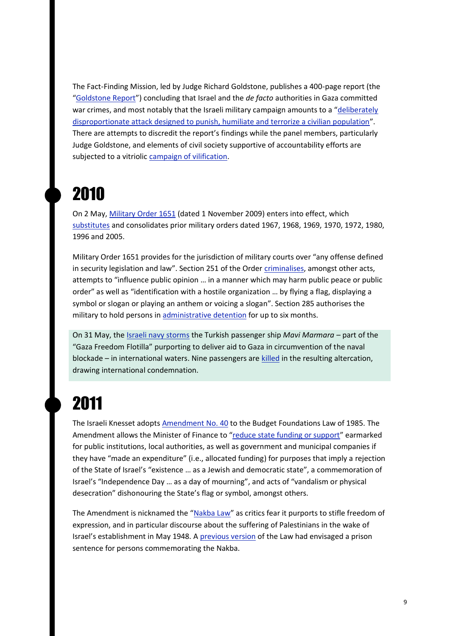The Fact-Finding Mission, led by Judge Richard Goldstone, publishes a 400-page report (the "[Goldstone Report](https://documents-dds-ny.un.org/doc/UNDOC/GEN/G09/158/66/PDF/G0915866.pdf?OpenElement)") concluding that Israel and the *de facto* authorities in Gaza committed war crimes, and most notably that the Israeli military campaign amounts to a "[deliberately](https://www.brookings.edu/opinions/the-goldstone-report-behind-the-uproar/)  [disproportionate attack designed to punish, humiliate and terrorize a civilian population](https://www.brookings.edu/opinions/the-goldstone-report-behind-the-uproar/)". There are attempts to discredit the report's findings while the panel members, particularly Judge Goldstone, and elements of civil society supportive of accountability efforts are subjected to a vitriolic [campaign of vilification.](https://www.theguardian.com/world/2011/apr/14/goldstone-report-history)

#### 2010

On 2 May[, Military Order 1651](http://www.militarycourtwatch.org/files/server/MO%201651%20.pdf) (dated 1 November 2009) enters into effect, which [substitutes](https://www.hrw.org/report/2019/12/17/born-without-civil-rights/israels-use-draconian-military-orders-repress) and consolidates prior military orders dated 1967, 1968, 1969, 1970, 1972, 1980, 1996 and 2005.

Military Order 1651 provides for the jurisdiction of military courts over "any offense defined in security legislation and law". Section 251 of the Order [criminalises,](https://www.hrw.org/report/2019/12/17/born-without-civil-rights/israels-use-draconian-military-orders-repress) amongst other acts, attempts to "influence public opinion … in a manner which may harm public peace or public order" as well as "identification with a hostile organization … by flying a flag, displaying a symbol or slogan or playing an anthem or voicing a slogan". Section 285 authorises the military to hold persons in [administrative detention](https://www.addameer.org/israeli_military_judicial_system/military_orders) for up to six months.

On 31 May, th[e Israeli navy storms](https://www.theguardian.com/world/2010/may/31/israeli-attacks-gaza-flotilla-activists) the Turkish passenger ship *Mavi Marmara –* part of the "Gaza Freedom Flotilla" purporting to deliver aid to Gaza in circumvention of the naval blockade – in international waters. Nine passengers are [killed](https://www.un.org/unispal/document/auto-insert-205969/) in the resulting altercation, drawing international condemnation.

#### 2011

The Israeli Knesset adopt[s Amendment No. 40](https://www.adalah.org/uploads/oldfiles/Public/files/Discriminatory-Laws-Database/English/33-Budget-Foundations-Law-Amendment40-Nakba-Law.pdf) to the Budget Foundations Law of 1985. The Amendment allows the Minister of Finance to "[reduce state funding or support](https://www.adalah.org/en/law/view/496)" earmarked for public institutions, local authorities, as well as government and municipal companies if they have "made an expenditure" (i.e., allocated funding) for purposes that imply a rejection of the State of Israel's "existence … as a Jewish and democratic state", a commemoration of Israel's "Independence Day … as a day of mourning", and acts of "vandalism or physical desecration" dishonouring the State's flag or symbol, amongst others.

The Amendment is nicknamed the "[Nakba Law](https://law.acri.org.il/en/knesset/nakba-law/)" as critics fear it purports to stifle freedom of expression, and in particular discourse about the suffering of Palestinians in the wake of Israel's establishment in May 1948. A [previous version](https://www.cambridge.org/core/journals/israel-law-review/article/israeli-pretransitional-justice-and-the-nakba-law/38FDCE76C2764DED2B9A26A596737DEC) of the Law had envisaged a prison sentence for persons commemorating the Nakba.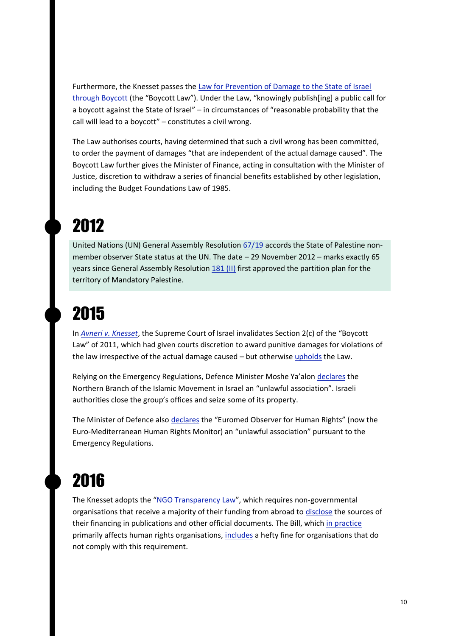Furthermore, the Knesset passes the Law [for Prevention of Damage to the State of Israel](https://law.acri.org.il/en/wp-content/uploads/2011/07/Boycott-Law-Final-Version-ENG-120711.pdf)  [through Boycott](https://law.acri.org.il/en/wp-content/uploads/2011/07/Boycott-Law-Final-Version-ENG-120711.pdf) (the "Boycott Law"). Under the Law, "knowingly publish[ing] a public call for a boycott against the State of Israel" – in circumstances of "reasonable probability that the call will lead to a boycott" – constitutes a civil wrong.

The Law authorises courts, having determined that such a civil wrong has been committed, to order the payment of damages "that are independent of the actual damage caused". The Boycott Law further gives the Minister of Finance, acting in consultation with the Minister of Justice, discretion to withdraw a series of financial benefits established by other legislation, including the Budget Foundations Law of 1985.

# 2012

United Nations (UN) General Assembly Resolution [67/19](https://unispal.un.org/UNISPAL.NSF/0/19862D03C564FA2C85257ACB004EE69B) accords the State of Palestine nonmember observer State status at the UN. The date – 29 November 2012 – marks exactly 65 years since General Assembly Resolution [181 \(II\)](https://unispal.un.org/dpa/dpr/unispal.nsf/0/7f0af2bd897689b785256c330061d253) first approved the partition plan for the territory of Mandatory Palestine.

# 2015

In *[Avneri v. Knesset](https://versa.cardozo.yu.edu/opinions/avneri-v-knesset)*, the Supreme Court of Israel invalidates Section 2(c) of the "Boycott Law" of 2011, which had given courts discretion to award punitive damages for violations of the law irrespective of the actual damage caused – but otherwise [upholds](https://www.hrw.org/news/2015/04/18/dispatches-israeli-supreme-court-upholds-anti-boycott-law) the Law.

Relying on the Emergency Regulations, Defence Minister Moshe Ya'alon [declares](https://www.haaretz.com/israel-news/israel-outlaws-islamic-movement-s-northern-branch-1.5422760) the Northern Branch of the Islamic Movement in Israel an "unlawful association". Israeli authorities close the group's offices and seize some of its property.

The Minister of Defence also [declares](https://www.justice.gov.il/En/Units/IMPA/NewsUpdates/Pages/MODAmendsDeclaration090216.aspx) the "Euromed Observer for Human Rights" (now the Euro-Mediterranean Human Rights Monitor) an "unlawful association" pursuant to the Emergency Regulations.

# 2016

The Knesset adopts the "[NGO Transparency Law](https://www.fidh.org/en/issues/human-rights-defenders/israeli-knesset-approves-controversial-law-targeting-foreign)", which requires non-governmental organisations that receive a majority of their funding from abroad to [disclose](https://www.adalah.org/en/law/view/600) the sources of their financing in publications and other official documents. The Bill, which [in practice](https://www.menschenrechte.org/en/2018/07/12/the-struggle-of-human-rights-ngos-and-the-funding-transparency-law-in-israel/) primarily affects human rights organisations, [includes](https://www.hrw.org/news/2016/07/13/israel-law-targets-human-rights-groups) a hefty fine for organisations that do not comply with this requirement.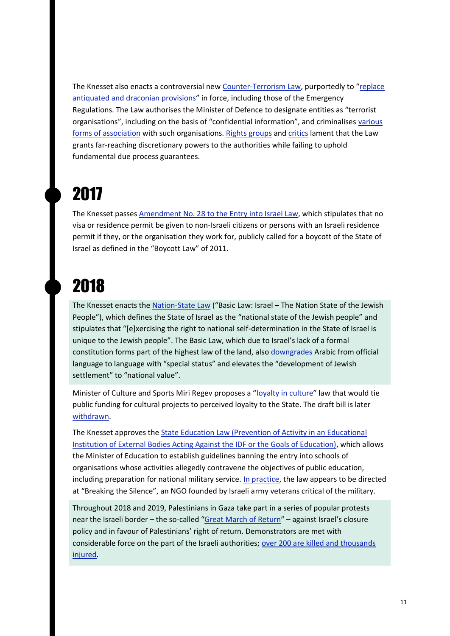The Knesset also enacts a controversial ne[w Counter-Terrorism Law](https://www.justice.gov.il/En/Units/IMPA/Legistlation/Pages/default.aspx), purportedly to "replace [antiquated and draconian provisions](https://www.justsecurity.org/78732/counterterrorism-off-the-rails-israels-declaration-of-palestinian-human-rights-groups-as-terrorist-organizations/)" in force, including those of the Emergency Regulations. The Law authorises the Minister of Defence to designate entities as "terrorist organisations", including on the basis of "confidential information", and criminalises various [forms of association](https://www.diakonia.se/ihl/news/israel-palestine-publication/designation-of-palestinian-csos-as-terrorist-organisations/) with such organisations. [Rights groups](https://www.aljazeera.com/news/2016/6/19/israels-anti-terror-law-dangerous-and-anti-arab) an[d critics](https://www.lawfareblog.com/israels-new-counterterrorism-law) lament that the Law grants far-reaching discretionary powers to the authorities while failing to uphold fundamental due process guarantees.

### 2017

The Knesset passes [Amendment No. 28 to the Entry into Israel Law,](https://www.alhaq.org/cached_uploads/download/alhaq_files/en/wp-content/uploads/2018/02/P-20-1906.pdf) which stipulates that no visa or residence permit be given to non-Israeli citizens or persons with an Israeli residence permit if they, or the organisation they work for, publicly called for a boycott of the State of Israel as defined in the "Boycott Law" of 2011.

### 2018

The Knesset enacts the [Nation-State Law](https://www.adalah.org/uploads/uploads/Basic_Law_Israel_as_the_Nation_State_of_the_Jewish_People_ENG_TRANSLATION_25072018.pdf) ("Basic Law: Israel – The Nation State of the Jewish People"), which defines the State of Israel as the "national state of the Jewish people" and stipulates that "[e]xercising the right to national self-determination in the State of Israel is unique to the Jewish people". The Basic Law, which due to Israel's lack of a formal constitution forms part of the highest law of the land, als[o downgrades](https://www.theguardian.com/world/2018/jul/19/israel-adopts-controversial-jewish-nation-state-law) Arabic from official language to language with "special status" and elevates the "development of Jewish settlement" to "national value".

Minister of Culture and Sports Miri Regev proposes a "[loyalty in culture](https://tcf.org/content/report/logic-behind-israels-democratic-erosion/)" law that would tie public funding for cultural projects to perceived loyalty to the State. The draft bill is later [withdrawn.](https://www.nif.org/blog/the-collapse-of-the-anti-democratic-loyalty-in-culture-bill/)

The Knesset approves the [State Education Law \(Prevention of Activity in an Educational](https://law.acri.org.il/en/2018/07/20/the-breaking-the-silence-law/)  [Institution of External Bodies Acting Against the IDF or the Goals of Education\),](https://law.acri.org.il/en/2018/07/20/the-breaking-the-silence-law/) which allows the Minister of Education to establish guidelines banning the entry into schools of organisations whose activities allegedly contravene the objectives of public education, including preparation for national military service. [In practice,](https://www.reuters.com/article/us-israel-politics-schools-idUSKBN1K70FF) the law appears to be directed at "Breaking the Silence", an NGO founded by Israeli army veterans critical of the military.

Throughout 2018 and 2019, Palestinians in Gaza take part in a series of popular protests near the Israeli border – the so-called "[Great March of Return](https://www.un.org/unispal/document/two-years-on-people-injured-and-traumatized-during-the-great-march-of-return-are-still-struggling/)" – against Israel's closure policy and in favour of Palestinians' right of return. Demonstrators are met with considerable force on the part of the Israeli authorities; [over 200 are killed and thousands](https://www.btselem.org/publications/202112_unwilling_and_unable)  [injured.](https://www.btselem.org/publications/202112_unwilling_and_unable)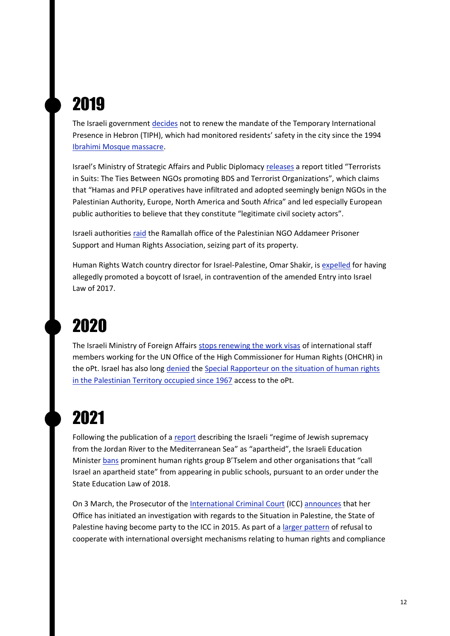# 2019

The Israeli government [decides](https://www.ochaopt.org/content/israel-terminates-tiph-operations-h2-further-shrinking-humanitarian-space-leaves-residents) not to renew the mandate of the Temporary International Presence in Hebron (TIPH), which had monitored residents' safety in the city since the 1994 [Ibrahimi Mosque massacre.](https://www.haaretz.com/.premium-hebron-where-the-streets-have-no-shame-1.5310042)

Israel's Ministry of Strategic Affairs and Public Diplomacy [releases](https://www.gov.il/BlobFolder/generalpage/terrorists_in_suits/en/De-Legitimization%20Brochure.pdf) a report titled "Terrorists in Suits: The Ties Between NGOs promoting BDS and Terrorist Organizations", which claims that "Hamas and PFLP operatives have infiltrated and adopted seemingly benign NGOs in the Palestinian Authority, Europe, North America and South Africa" and led especially European public authorities to believe that they constitute "legitimate civil society actors".

Israeli authorities [raid](https://www.amnesty.org/en/latest/press-release/2019/09/israel-ramps-up-assault-on-civil-society-with-chilling-raid-on-palestinian-ngo-addameer/) the Ramallah office of the Palestinian NGO Addameer Prisoner Support and Human Rights Association, seizing part of its property.

Human Rights Watch country director for Israel-Palestine, Omar Shakir, is [expelled](https://www.hrw.org/news/2019/11/25/israel-expels-human-rights-watch-director-today) for having allegedly promoted a boycott of Israel, in contravention of the amended Entry into Israel Law of 2017.

# 2020

The Israeli Ministry of Foreign Affairs [stops renewing the work visas](https://www.adalah.org/en/content/view/10172) of international staff members working for the UN Office of the High Commissioner for Human Rights (OHCHR) in the oPt. Israel has also long [denied](https://www.ohchr.org/EN/NewsEvents/Pages/DisplayNews.aspx?NewsID=27295&LangID=E) the [Special Rapporteur on the situation of human rights](https://www.ohchr.org/en/hrbodies/sp/countriesmandates/ps/pages/srpalestine.aspx)  [in the Palestinian Territory occupied since 1967](https://www.ohchr.org/en/hrbodies/sp/countriesmandates/ps/pages/srpalestine.aspx) access to the oPt.

### 2021

Following the publication of a [report](https://www.btselem.org/publications/fulltext/202101_this_is_apartheid) describing the Israeli "regime of Jewish supremacy from the Jordan River to the Mediterranean Sea" as "apartheid", the Israeli Education Minister [bans](https://www.middleeasteye.net/news/israel-palestine-ban-schools-rights-groups-critical-occupation) prominent human rights group B'Tselem and other organisations that "call Israel an apartheid state" from appearing in public schools, pursuant to an order under the State Education Law of 2018.

On 3 March, the Prosecutor of the [International Criminal Court](https://www.diakonia.se/ihl/news/israel-palestine-publication/icc-investigation-in-the-palestine-situation/) (ICC) [announces](https://www.icc-cpi.int/Pages/item.aspx?name=210303-prosecutor-statement-investigation-palestine) that her Office has initiated an investigation with regards to the Situation in Palestine, the State of Palestine having become party to the ICC in 2015. As part of a [larger pattern](https://www.ohchr.org/EN/HRBodies/HRC/SpecialSessions/Session9/Pages/FactFindingMission.aspx) of refusal to cooperate with international oversight mechanisms relating to human rights and compliance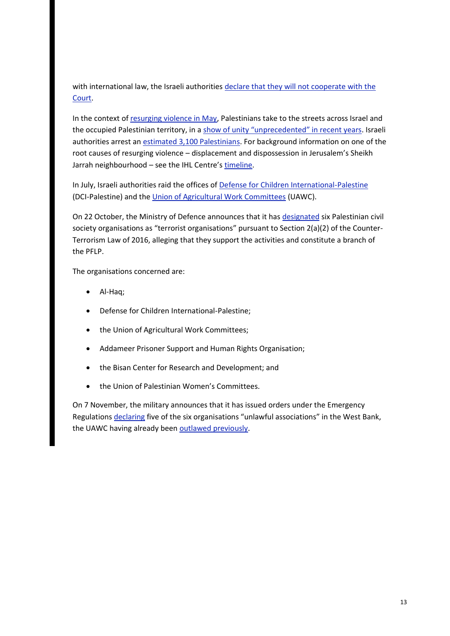with international law, the Israeli authorities [declare that they will not cooperate with the](https://www.bbc.com/news/world-middle-east-56687437)  [Court.](https://www.bbc.com/news/world-middle-east-56687437)

In the context o[f resurging violence in May,](https://www.diakonia.se/ihl/jerusalem/resurging-violence/) Palestinians take to the streets across Israel and the occupied Palestinian territory, in a [show of unity "unprecedented" in recent years](https://www.aljazeera.com/news/2021/5/16/palestinian-protests-in-israel-showcase-unprecedented-unity). Israeli authorities arrest an [estimated 3,100 Palestinians.](https://www.aljazeera.com/news/2021/6/30/thousands-of-palestinians-swept-up-in-israeli-arrest-campaign) For background information on one of the root causes of resurging violence – displacement and dispossession in Jerusalem's Sheikh Jarrah neighbourhood – see the IHL Centre's [timeline.](https://apidiakoniase.cdn.triggerfish.cloud/uploads/sites/2/2021/05/Timeline-hostilities-israel-palestine-may-2021-1.pdf)

In July, Israeli authorities raid the offices of [Defense for Children International-Palestine](https://www.ohchr.org/en/NewsEvents/Pages/DisplayNews.aspx?NewsID=27381&LangID=E) (DCI-Palestine) and th[e Union of Agricultural Work Committees](https://www.un.org/unispal/ngo-action-news-15-july-2021/) (UAWC).

On 22 October, the Ministry of Defence announces that it ha[s designated](https://www.diakonia.se/ihl/news/category/the-designation-of-six-palestinian-civil-society-groups-operating-in-the-opt/) six Palestinian civil society organisations as "terrorist organisations" pursuant to Section 2(a)(2) of the Counter-Terrorism Law of 2016, alleging that they support the activities and constitute a branch of the PFLP.

The organisations concerned are:

- Al-Haq;
- Defense for Children International-Palestine;
- the Union of Agricultural Work Committees;
- Addameer Prisoner Support and Human Rights Organisation;
- the Bisan Center for Research and Development; and
- the Union of Palestinian Women's Committees.

On 7 November, the military announces that it has issued orders under the Emergency Regulations [declaring](https://www.haaretz.com/israel-news/.premium-two-weeks-on-israeli-army-extends-palestinian-ngo-terror-designation-to-west-bank-1.10361491) five of the six organisations "unlawful associations" in the West Bank, the UAWC having already bee[n outlawed previously.](https://www.haaretz.com/israel-news/.premium-two-weeks-on-israeli-army-extends-palestinian-ngo-terror-designation-to-west-bank-1.10361491)